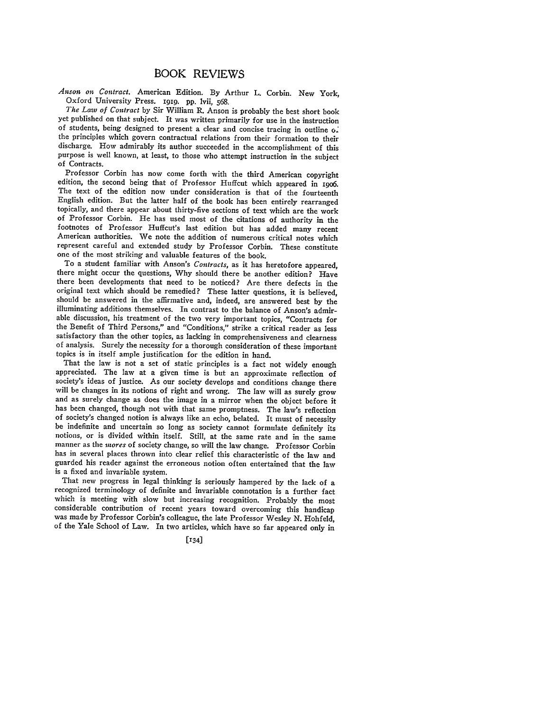## *Anson on Contract.* American Edition. By Arthur L. Corbin. New York, Oxford University Press. *i9ig.* **pp.** lvii, **568.**

*The Law of Contract* **by** Sir William R. Anson is probably the best short book yet published on that subject. It was written primarily for use in the instruction of students, being designed to present a clear and concise tracing in outline of the principles which govern contractual relations from their formation to their discharge. How admirably its author succeeded in the accomplishment of this purpose is well known, at least, to those who attempt instruction in the subject of Contracts.

Professor Corbin has now come forth with the third American copyright edition, the second being that of Professor Huffcut which appeared in 19o6. The text of the edition now under consideration is that of the fourteenth English edition. But the latter half of the book has been entirely rearranged topically, and there appear about thirty-five sections of text which are the work of Professor Corbin. He has used most of the citations of authority in the footnotes of Professor Huffcut's last edition but has added many recent American authorities. We note the addition of numerous critical notes which represent careful and extended study by Professor Corbin. These constitute one of the most striking and valuable features of the book.

To a student familiar with Anson's *Contracts,* as it has heretofore appeared, there might occur the questions, Why should there be another edition? Have there been developments that need to be noticed? Are there defects in the original text which should be remedied? These latter questions, it is believed, should be answered in the affirmative and, indeed, are answered best by the illuminating additions themselves. In contrast to the balance of Anson's admirable discussion, his treatment of the two very important topics, "Contracts for the Benefit of Third Persons," and "Conditions," strike a critical reader as less satisfactory than the other topics, as lacking in comprehensiveness and clearness of analysis. Surely the necessity for a thorough consideration of these important topics is in itself ample justification for the edition in hand.

appreciated. The law at a given time is but an approximate reflection of society's ideas of justice. As our society develops and conditions change there will be changes in its notions of right and wrong. The law will as surely grow and as surely change as does the image in a mirror when the object before it has been changed, though not with that same promptness. The law's reflection of society's changed notion is always like an echo, belated. It must of necessity be indefinite and uncertain so long as society cannot formulate definitely its notions, or is divided within itself. Still, at the same rate and in the same manner as the *mores* of society change, so will the law change. Professor Corbin has in several places thrown into clear relief this characteristic of the law and guarded his reader against the erroneous notion often entertained that the law is a fixed and invariable system.

That new progress in legal thinking is seriously hampered by the lack of a recognized terminology of definite and invariable connotation is a further fact which is meeting with slow but increasing recognition. Probably the most considerable contribution of recent years toward overcoming this handicap was made by Professor Corbin's colleague, the late Professor Wesley N. Hohfeld, of the Yale School of Law. In two articles, which have so far appeared only in

 $\left[134\right]$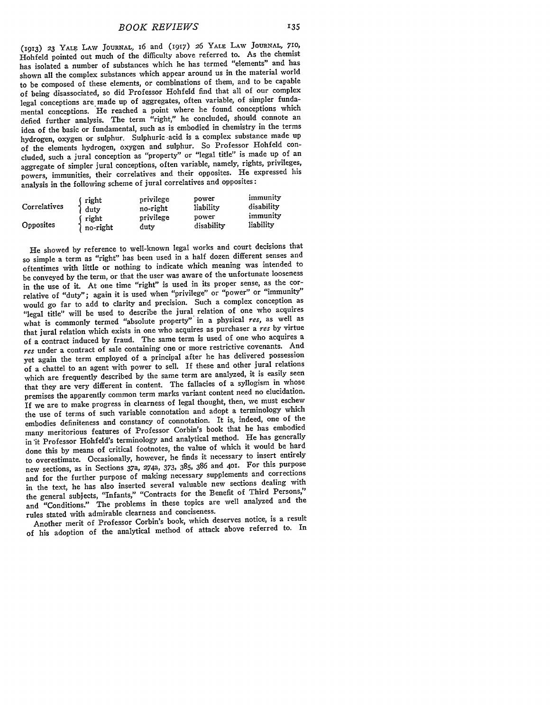(1913) **23** YALE **LAW JOURNAL,** i6 and (1917) **26** YALE LAW **JOURNAL, 710,** Hohfeld pointed out much of the difficulty above referred to. As the chemist has isolated a number of substances which he has termed "elements" and has shown all the complex substances which appear around us in the material world to be composed of these elements, or combinations of them, and to be capable of being disassociated, so did Professor Hohfeld find that all of our complex legal conceptions are made up of aggregates, often variable, of simpler fundamental conceptions. He reached a point where he found conceptions which defied further analysis. The term "right," he concluded, should connote an idea of the basic or fundamental, such as is embodied in chemistry in the terms hydrogen, oxygen or sulphur. Sulphuric -acid is a complex substance made up of the elements hydrogen, oxygen and sulphur. So Professor Hohfeld concluded, such a jural conception as "property" or "legal title" is made up of an aggregate of simpler jural conceptions, often variable, namely, rights, privileges, powers, immunities, their correlatives and their opposites. He expressed his analysis in the following scheme of jural correlatives and opposites:

| Correlatives | right    | privilege | power      | immunity   |
|--------------|----------|-----------|------------|------------|
|              | duty     | no-right  | liability  | disability |
| Opposites    | right    | privilege | power      | immunity   |
|              | no-right | dutv      | disability | liability  |

He showed by reference to well-known legal works and court decisions that so simple a term as "right" has been used in a half dozen different senses and oftentimes with little or nothing to indicate which meaning was intended to be conveyed **by** the term, or that the user was aware of the unfortunate looseness in the use of it. At one time "right" is used in its proper sense, as the correlative of "duty"; again it is used when "privilege" or "power" or "immunity" would go far to add to clarity and precision. Such a complex conception as "legal title" will be used to describe the jural relation of one who acquires what is commonly termed "absolute property" in a physical res, as well as that jural relation which exists in one who acquires as purchaser a *res* by virtue of a contract induced by fraud. The same term is used of one who acquires a *res* under a contract of sale containing one or more restrictive covenants. And yet again the term employed of a principal after he has delivered possession of a chattel to an agent with power to sell. If these and other jural relations which are frequently described by the same term are analyzed, it is easily seen that they are very different in content. The fallacies of a syllogism in whose premises the apparently common term marks variant content need no elucidation. **If** we are to make progress in clearness of legal thought, then, we must eschew the use of terms of such variable connotation and adopt a terminology which embodies definiteness and constancy of connotation. It is, indeed, one of the many meritorious features of Professor Corbin's book that he has embodied in 'it Professor Hohfeld's terminology and analytical method. He has generally done this by means of critical footnotes, the value of which it would be hard to overestimate. Occasionally, however, he finds it necessary to insert entirely new sections, as in Sections 37a, 274a, 373, 385, 386 and **401.** For this purpose and for the further purpose of making necessary supplements and corrections in the text, he has also inserted several valuable new sections dealing with the general subjects, "Infants," "Contracts for the Benefit of Third Persons," and "Conditions." The problems in these topics are well analyzed and the rules stated with admirable clearness and conciseness.

Another merit of Professor Corbin's book, which deserves notice, is a result of his adoption of the analytical method of attack above referred to. In